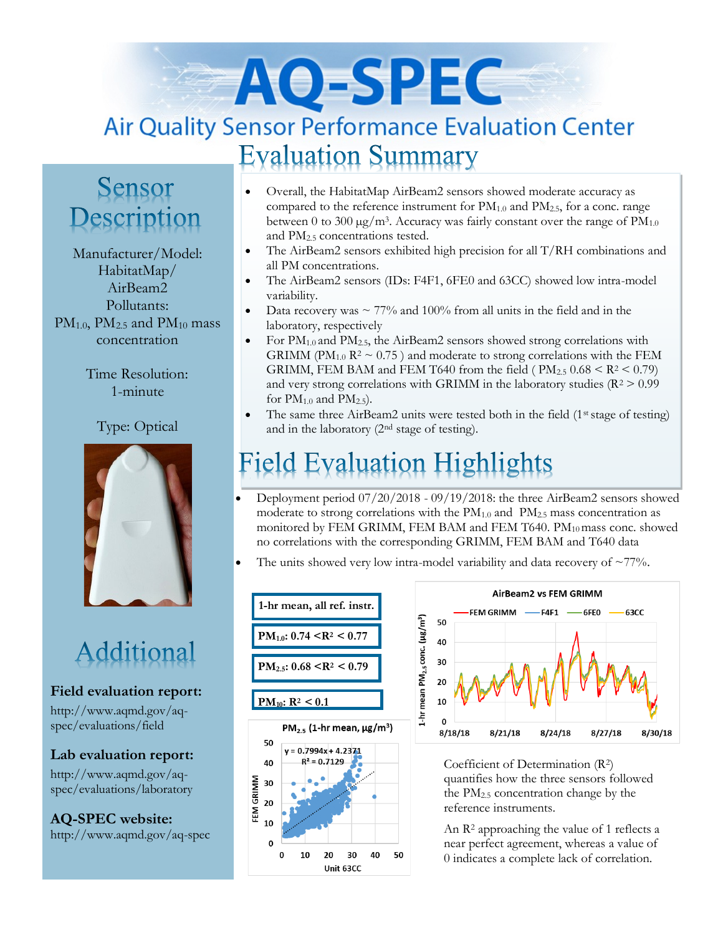# AO-SPEC **Air Quality Sensor Performance Evaluation Center Evaluation Summary**

## Sensor Description

Manufacturer/Model: HabitatMap/ AirBeam2 Pollutants:  $PM_{1.0}$ ,  $PM_{2.5}$  and  $PM_{10}$  mass concentration

> Time Resolution: 1-minute

#### Type: Optical



# Additional

#### **Field evaluation report:**

http://www.aqmd.gov/aqspec/evaluations/field

#### **Lab evaluation report:**

http://www.aqmd.gov/aqspec/evaluations/laboratory

**AQ-SPEC website:**  http://www.aqmd.gov/aq-spec

- Overall, the HabitatMap AirBeam2 sensors showed moderate accuracy as compared to the reference instrument for  $PM_{1.0}$  and  $PM_{2.5}$ , for a conc. range between 0 to 300  $\mu$ g/m<sup>3</sup>. Accuracy was fairly constant over the range of PM<sub>1.0</sub> and PM2.5 concentrations tested.
- The AirBeam2 sensors exhibited high precision for all T/RH combinations and all PM concentrations.
- The AirBeam2 sensors (IDs: F4F1, 6FE0 and 63CC) showed low intra-model variability.
- Data recovery was  $\sim$  77% and 100% from all units in the field and in the laboratory, respectively
- For  $PM_{1.0}$  and  $PM_{2.5}$ , the AirBeam2 sensors showed strong correlations with GRIMM (PM<sub>1.0</sub> R<sup>2</sup>  $\sim$  0.75) and moderate to strong correlations with the FEM GRIMM, FEM BAM and FEM T640 from the field ( $PM_{2.5}$  0.68 < R<sup>2</sup> < 0.79) and very strong correlations with GRIMM in the laboratory studies ( $R^2 > 0.99$ ) for  $PM_{1.0}$  and  $PM_{2.5}$ ).
- The same three AirBeam2 units were tested both in the field (1<sup>st</sup> stage of testing) and in the laboratory (2nd stage of testing).

# eld Evaluation Highlights

- Deployment period 07/20/2018 09/19/2018: the three AirBeam2 sensors showed moderate to strong correlations with the  $PM_{1.0}$  and  $PM_{2.5}$  mass concentration as monitored by FEM GRIMM, FEM BAM and FEM T640. PM<sub>10</sub> mass conc. showed no correlations with the corresponding GRIMM, FEM BAM and T640 data
- The units showed very low intra-model variability and data recovery of  $\sim 77\%$ .





Coefficient of Determination (R2) quantifies how the three sensors followed the PM2.5 concentration change by the reference instruments.

An R<sup>2</sup> approaching the value of 1 reflects a near perfect agreement, whereas a value of 0 indicates a complete lack of correlation.